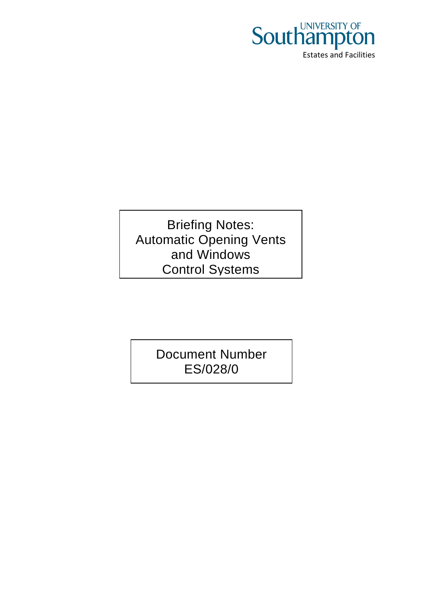

Briefing Notes: Automatic Opening Vents and Windows Control Systems

> Document Number ES/028/0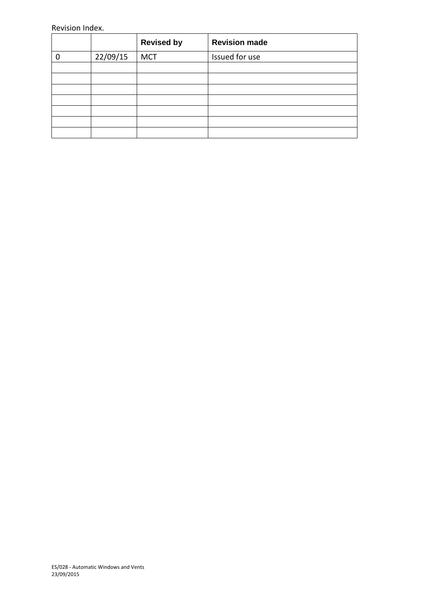#### Revision Index.

|          | <b>Revised by</b> | <b>Revision made</b> |
|----------|-------------------|----------------------|
| 22/09/15 | <b>MCT</b>        | Issued for use       |
|          |                   |                      |
|          |                   |                      |
|          |                   |                      |
|          |                   |                      |
|          |                   |                      |
|          |                   |                      |
|          |                   |                      |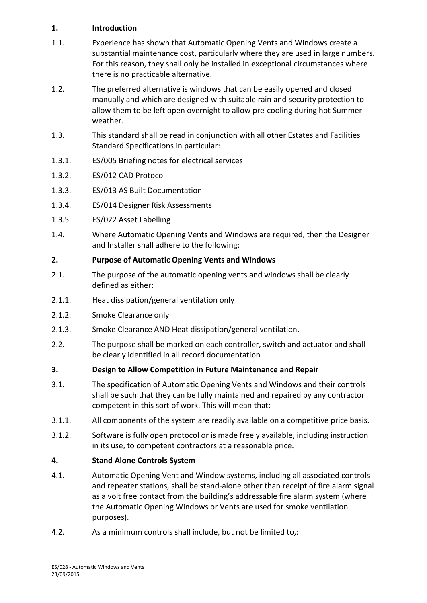# **1. Introduction**

- 1.1. Experience has shown that Automatic Opening Vents and Windows create a substantial maintenance cost, particularly where they are used in large numbers. For this reason, they shall only be installed in exceptional circumstances where there is no practicable alternative.
- 1.2. The preferred alternative is windows that can be easily opened and closed manually and which are designed with suitable rain and security protection to allow them to be left open overnight to allow pre-cooling during hot Summer weather.
- 1.3. This standard shall be read in conjunction with all other Estates and Facilities Standard Specifications in particular:
- 1.3.1. ES/005 Briefing notes for electrical services
- 1.3.2. ES/012 CAD Protocol
- 1.3.3. ES/013 AS Built Documentation
- 1.3.4. ES/014 Designer Risk Assessments
- 1.3.5. ES/022 Asset Labelling
- 1.4. Where Automatic Opening Vents and Windows are required, then the Designer and Installer shall adhere to the following:

# **2. Purpose of Automatic Opening Vents and Windows**

- 2.1. The purpose of the automatic opening vents and windows shall be clearly defined as either:
- 2.1.1. Heat dissipation/general ventilation only
- 2.1.2. Smoke Clearance only
- 2.1.3. Smoke Clearance AND Heat dissipation/general ventilation.
- 2.2. The purpose shall be marked on each controller, switch and actuator and shall be clearly identified in all record documentation

# **3. Design to Allow Competition in Future Maintenance and Repair**

- 3.1. The specification of Automatic Opening Vents and Windows and their controls shall be such that they can be fully maintained and repaired by any contractor competent in this sort of work. This will mean that:
- 3.1.1. All components of the system are readily available on a competitive price basis.
- 3.1.2. Software is fully open protocol or is made freely available, including instruction in its use, to competent contractors at a reasonable price.

# **4. Stand Alone Controls System**

- 4.1. Automatic Opening Vent and Window systems, including all associated controls and repeater stations, shall be stand-alone other than receipt of fire alarm signal as a volt free contact from the building's addressable fire alarm system (where the Automatic Opening Windows or Vents are used for smoke ventilation purposes).
- 4.2. As a minimum controls shall include, but not be limited to,: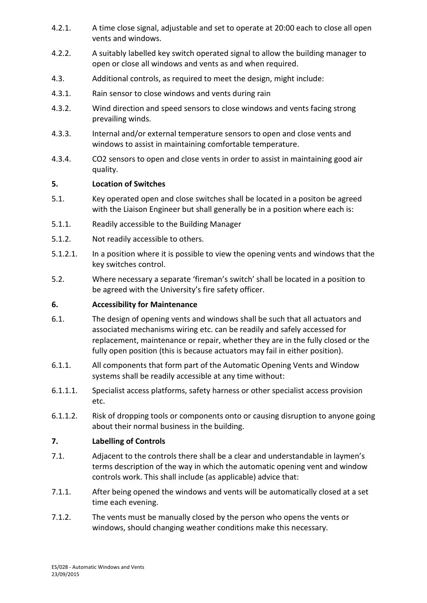- 4.2.1. A time close signal, adjustable and set to operate at 20:00 each to close all open vents and windows.
- 4.2.2. A suitably labelled key switch operated signal to allow the building manager to open or close all windows and vents as and when required.
- 4.3. Additional controls, as required to meet the design, might include:
- 4.3.1. Rain sensor to close windows and vents during rain
- 4.3.2. Wind direction and speed sensors to close windows and vents facing strong prevailing winds.
- 4.3.3. Internal and/or external temperature sensors to open and close vents and windows to assist in maintaining comfortable temperature.
- 4.3.4. CO2 sensors to open and close vents in order to assist in maintaining good air quality.

# **5. Location of Switches**

- 5.1. Key operated open and close switches shall be located in a positon be agreed with the Liaison Engineer but shall generally be in a position where each is:
- 5.1.1. Readily accessible to the Building Manager
- 5.1.2. Not readily accessible to others.
- 5.1.2.1. In a position where it is possible to view the opening vents and windows that the key switches control.
- 5.2. Where necessary a separate 'fireman's switch' shall be located in a position to be agreed with the University's fire safety officer.

# **6. Accessibility for Maintenance**

- 6.1. The design of opening vents and windows shall be such that all actuators and associated mechanisms wiring etc. can be readily and safely accessed for replacement, maintenance or repair, whether they are in the fully closed or the fully open position (this is because actuators may fail in either position).
- 6.1.1. All components that form part of the Automatic Opening Vents and Window systems shall be readily accessible at any time without:
- 6.1.1.1. Specialist access platforms, safety harness or other specialist access provision etc.
- 6.1.1.2. Risk of dropping tools or components onto or causing disruption to anyone going about their normal business in the building.

# **7. Labelling of Controls**

- 7.1. Adjacent to the controls there shall be a clear and understandable in laymen's terms description of the way in which the automatic opening vent and window controls work. This shall include (as applicable) advice that:
- 7.1.1. After being opened the windows and vents will be automatically closed at a set time each evening.
- 7.1.2. The vents must be manually closed by the person who opens the vents or windows, should changing weather conditions make this necessary.